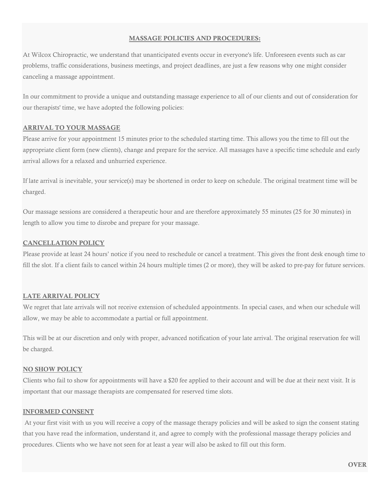### **MASSAGE POLICIES AND PROCEDURES:**

At Wilcox Chiropractic, we understand that unanticipated events occur in everyone's life. Unforeseen events such as car problems, traffic considerations, business meetings, and project deadlines, are just a few reasons why one might consider canceling a massage appointment.

In our commitment to provide a unique and outstanding massage experience to all of our clients and out of consideration for our therapists' time, we have adopted the following policies:

# **ARRIVAL TO YOUR MASSAGE**

Please arrive for your appointment 15 minutes prior to the scheduled starting time. This allows you the time to fill out the appropriate client form (new clients), change and prepare for the service. All massages have a specific time schedule and early arrival allows for a relaxed and unhurried experience.

If late arrival is inevitable, your service(s) may be shortened in order to keep on schedule. The original treatment time will be charged.

Our massage sessions are considered a therapeutic hour and are therefore approximately 55 minutes (25 for 30 minutes) in length to allow you time to disrobe and prepare for your massage.

### **CANCELLATION POLICY**

Please provide at least 24 hours' notice if you need to reschedule or cancel a treatment. This gives the front desk enough time to fill the slot. If a client fails to cancel within 24 hours multiple times (2 or more), they will be asked to pre-pay for future services.

# **LATE ARRIVAL POLICY**

We regret that late arrivals will not receive extension of scheduled appointments. In special cases, and when our schedule will allow, we may be able to accommodate a partial or full appointment.

This will be at our discretion and only with proper, advanced notification of your late arrival. The original reservation fee will be charged.

#### **NO SHOW POLICY**

Clients who fail to show for appointments will have a \$20 fee applied to their account and will be due at their next visit. It is important that our massage therapists are compensated for reserved time slots.

#### **INFORMED CONSENT**

 At your first visit with us you will receive a copy of the massage therapy policies and will be asked to sign the consent stating that you have read the information, understand it, and agree to comply with the professional massage therapy policies and procedures. Clients who we have not seen for at least a year will also be asked to fill out this form.